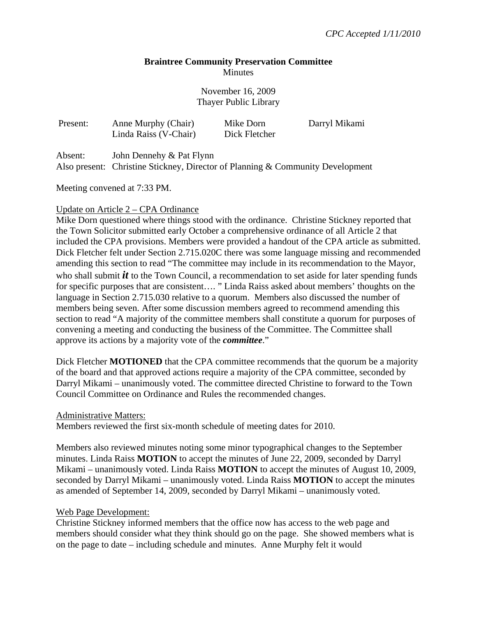# **Braintree Community Preservation Committee Minutes**

November 16, 2009 Thayer Public Library

| Present: | Anne Murphy (Chair)<br>Linda Raiss (V-Chair) | Mike Dorn<br>Dick Fletcher | Darryl Mikami |
|----------|----------------------------------------------|----------------------------|---------------|
| Absent:  | John Dennehy & Pat Flynn                     |                            |               |

Also present: Christine Stickney, Director of Planning & Community Development

Meeting convened at 7:33 PM.

# Update on Article 2 – CPA Ordinance

Mike Dorn questioned where things stood with the ordinance. Christine Stickney reported that the Town Solicitor submitted early October a comprehensive ordinance of all Article 2 that included the CPA provisions. Members were provided a handout of the CPA article as submitted. Dick Fletcher felt under Section 2.715.020C there was some language missing and recommended amending this section to read "The committee may include in its recommendation to the Mayor, who shall submit *it* to the Town Council, a recommendation to set aside for later spending funds for specific purposes that are consistent…. " Linda Raiss asked about members' thoughts on the language in Section 2.715.030 relative to a quorum. Members also discussed the number of members being seven. After some discussion members agreed to recommend amending this section to read "A majority of the committee members shall constitute a quorum for purposes of convening a meeting and conducting the business of the Committee. The Committee shall approve its actions by a majority vote of the *committee*."

Dick Fletcher **MOTIONED** that the CPA committee recommends that the quorum be a majority of the board and that approved actions require a majority of the CPA committee, seconded by Darryl Mikami – unanimously voted. The committee directed Christine to forward to the Town Council Committee on Ordinance and Rules the recommended changes.

### Administrative Matters:

Members reviewed the first six-month schedule of meeting dates for 2010.

Members also reviewed minutes noting some minor typographical changes to the September minutes. Linda Raiss **MOTION** to accept the minutes of June 22, 2009, seconded by Darryl Mikami – unanimously voted. Linda Raiss **MOTION** to accept the minutes of August 10, 2009, seconded by Darryl Mikami – unanimously voted. Linda Raiss **MOTION** to accept the minutes as amended of September 14, 2009, seconded by Darryl Mikami – unanimously voted.

### Web Page Development:

Christine Stickney informed members that the office now has access to the web page and members should consider what they think should go on the page. She showed members what is on the page to date – including schedule and minutes. Anne Murphy felt it would